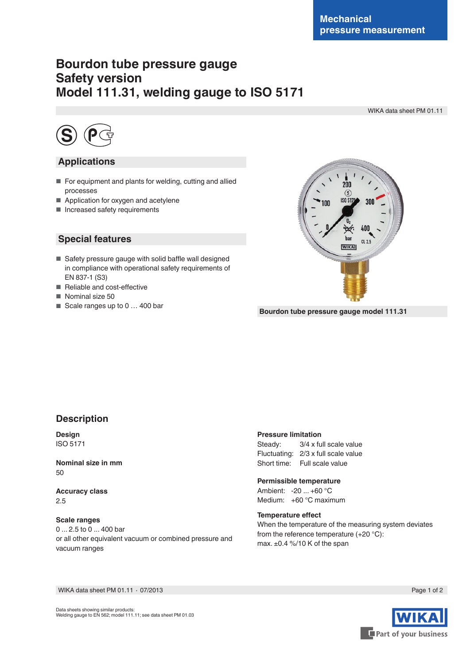# **Bourdon tube pressure gauge Safety version Model 111.31, welding gauge to ISO 5171**

WIKA data sheet PM 01.11



## **Applications**

- For equipment and plants for welding, cutting and allied processes
- Application for oxygen and acetylene
- Increased safety requirements

## **Special features**

- Safety pressure gauge with solid baffle wall designed in compliance with operational safety requirements of EN 837-1 (S3)
- Reliable and cost-effective
- Nominal size 50
- Scale ranges up to 0 ... 400 bar



**Bourdon tube pressure gauge model 111.31**

### **Description**

**Design** ISO 5171

**Nominal size in mm** 50

**Accuracy class** 2.5

#### **Scale ranges**

0 ... 2.5 to 0 ... 400 bar or all other equivalent vacuum or combined pressure and vacuum ranges

### **Pressure limitation**

Steady: 3/4 x full scale value Fluctuating: 2/3 x full scale value Short time: Full scale value

### **Permissible temperature**

Ambient: -20 ... +60 °C Medium: +60 °C maximum

#### **Temperature effect**

When the temperature of the measuring system deviates from the reference temperature (+20 °C): max. ±0.4 %/10 K of the span

WIKA data sheet PM 01.11 ⋅ 07/2013 Page 1 of 2



Data sheets showing similar products: Welding gauge to EN 562; model 111.11; see data sheet PM 01.03